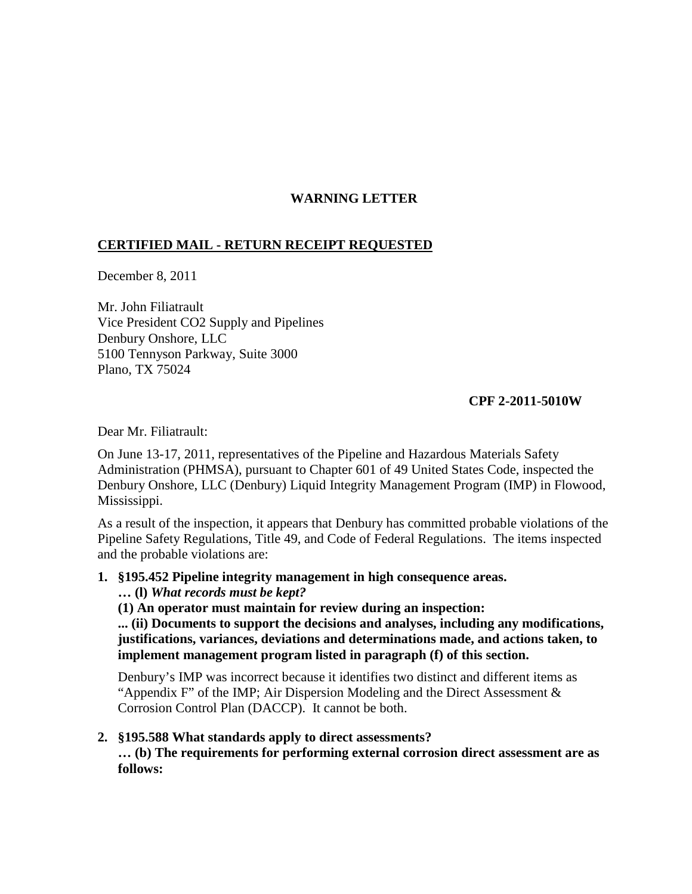## **WARNING LETTER**

## **CERTIFIED MAIL - RETURN RECEIPT REQUESTED**

December 8, 2011

Mr. John Filiatrault Vice President CO2 Supply and Pipelines Denbury Onshore, LLC 5100 Tennyson Parkway, Suite 3000 Plano, TX 75024

## **CPF 2-2011-5010W**

Dear Mr. Filiatrault:

On June 13-17, 2011, representatives of the Pipeline and Hazardous Materials Safety Administration (PHMSA), pursuant to Chapter 601 of 49 United States Code, inspected the Denbury Onshore, LLC (Denbury) Liquid Integrity Management Program (IMP) in Flowood, Mississippi.

As a result of the inspection, it appears that Denbury has committed probable violations of the Pipeline Safety Regulations, Title 49, and Code of Federal Regulations. The items inspected and the probable violations are:

**1. §195.452 Pipeline integrity management in high consequence areas.**

**… (l)** *What records must be kept?*

**(1) An operator must maintain for review during an inspection:**

**... (ii) Documents to support the decisions and analyses, including any modifications, justifications, variances, deviations and determinations made, and actions taken, to implement management program listed in paragraph (f) of this section.**

Denbury's IMP was incorrect because it identifies two distinct and different items as "Appendix F" of the IMP; Air Dispersion Modeling and the Direct Assessment  $\&$ Corrosion Control Plan (DACCP). It cannot be both.

## **2. §195.588 What standards apply to direct assessments?**

**… (b) The requirements for performing external corrosion direct assessment are as follows:**